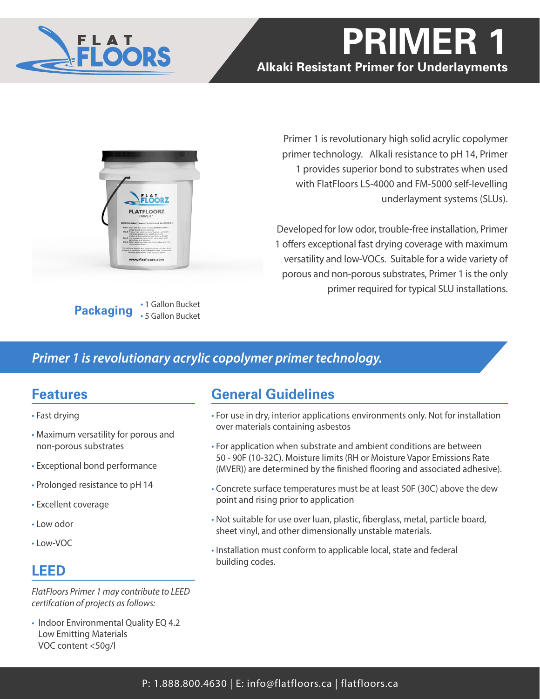

# **PRIMER 1 Alkaki Resistant Primer for Underlayments**



**Packaging** • 1 Gallon Bucket • 5 Gallon Bucket

Primer 1 is revolutionary high solid acrylic copolymer primer technology. Alkali resistance to pH 14, Primer 1 provides superior bond to substrates when used with FlatFloors LS-4000 and FM-5000 self-levelling underlayment systems (SLUs).

Developed for low odor, trouble-free installation, Primer 1 offers exceptional fast drying coverage with maximum versatility and low-VOCs. Suitable for a wide variety of porous and non-porous substrates, Primer 1 is the only primer required for typical SLU installations.

## *Primer 1 is revolutionary acrylic copolymer primer technology.*

## **Features**

- Fast drying
- Maximum versatility for porous and non-porous substrates
- Exceptional bond performance
- Prolonged resistance to pH 14
- Excellent coverage
- Low odor
- Low-VOC

# **LEED**

*FlatFloors Primer 1 may contribute to LEED certifcation of projects as follows:*

• Indoor Environmental Quality EQ 4.2 Low Emitting Materials VOC content <50g/l

# **General Guidelines**

- For use in dry, interior applications environments only. Not for installation over materials containing asbestos
- For application when substrate and ambient conditions are between 50 - 90F (10-32C). Moisture limits (RH or Moisture Vapor Emissions Rate (MVER)) are determined by the finished flooring and associated adhesive).
- Concrete surface temperatures must be at least 50F (30C) above the dew point and rising prior to application
- Not suitable for use over luan, plastic, fiberglass, metal, particle board, sheet vinyl, and other dimensionally unstable materials.
- Installation must conform to applicable local, state and federal building codes.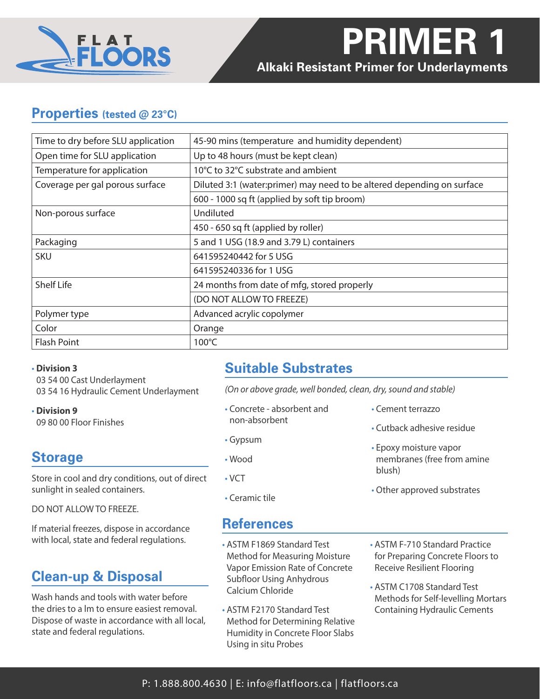

## **Properties (tested @ 23°C)**

| Time to dry before SLU application | 45-90 mins (temperature and humidity dependent)                        |
|------------------------------------|------------------------------------------------------------------------|
| Open time for SLU application      | Up to 48 hours (must be kept clean)                                    |
| Temperature for application        | 10°C to 32°C substrate and ambient                                     |
| Coverage per gal porous surface    | Diluted 3:1 (water:primer) may need to be altered depending on surface |
|                                    | 600 - 1000 sq ft (applied by soft tip broom)                           |
| Non-porous surface                 | Undiluted                                                              |
|                                    | 450 - 650 sq ft (applied by roller)                                    |
| Packaging                          | 5 and 1 USG (18.9 and 3.79 L) containers                               |
| <b>SKU</b>                         | 641595240442 for 5 USG                                                 |
|                                    | 641595240336 for 1 USG                                                 |
| <b>Shelf Life</b>                  | 24 months from date of mfg, stored properly                            |
|                                    | (DO NOT ALLOW TO FREEZE)                                               |
| Polymer type                       | Advanced acrylic copolymer                                             |
| Color                              | Orange                                                                 |
| <b>Flash Point</b>                 | $100^{\circ}$ C                                                        |

• **Division 3** 03 54 00 Cast Underlayment 03 54 16 Hydraulic Cement Underlayment

• **Division 9** 09 80 00 Floor Finishes

## **Storage**

Store in cool and dry conditions, out of direct sunlight in sealed containers.

DO NOT ALLOW TO FREEZE.

If material freezes, dispose in accordance with local, state and federal regulations.

# **Clean-up & Disposal**

Wash hands and tools with water before the dries to a lm to ensure easiest removal. Dispose of waste in accordance with all local, state and federal regulations.

# **Suitable Substrates**

*(On or above grade, well bonded, clean, dry, sound and stable)*

- Concrete absorbent and non-absorbent
- Gypsum
- Wood
- VCT
- Ceramic tile

## **References**

- ASTM F1869 Standard Test Method for Measuring Moisture Vapor Emission Rate of Concrete Subfloor Using Anhydrous Calcium Chloride
- ASTM F2170 Standard Test Method for Determining Relative Humidity in Concrete Floor Slabs Using in situ Probes
- Cement terrazzo
- Cutback adhesive residue
- Epoxy moisture vapor membranes (free from amine blush)
- Other approved substrates
- ASTM F-710 Standard Practice for Preparing Concrete Floors to Receive Resilient Flooring
- ASTM C1708 Standard Test Methods for Self-levelling Mortars Containing Hydraulic Cements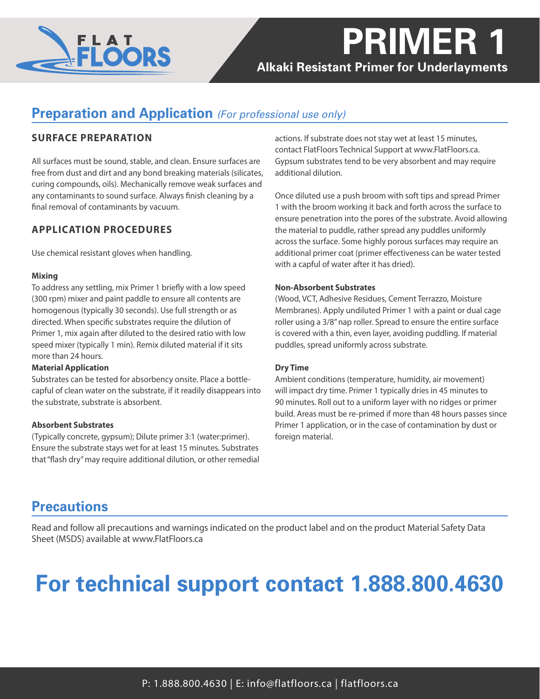

# **PRIMER 1 Alkaki Resistant Primer for Underlayments**

## **Preparation and Application** *(For professional use only)*

## **SURFACE PREPARATION**

All surfaces must be sound, stable, and clean. Ensure surfaces are free from dust and dirt and any bond breaking materials (silicates, curing compounds, oils). Mechanically remove weak surfaces and any contaminants to sound surface. Always finish cleaning by a final removal of contaminants by vacuum.

## **APPLICATION PROCEDURES**

Use chemical resistant gloves when handling.

### **Mixing**

To address any settling, mix Primer 1 briefly with a low speed (300 rpm) mixer and paint paddle to ensure all contents are homogenous (typically 30 seconds). Use full strength or as directed. When specific substrates require the dilution of Primer 1, mix again after diluted to the desired ratio with low speed mixer (typically 1 min). Remix diluted material if it sits more than 24 hours.

### **Material Application**

Substrates can be tested for absorbency onsite. Place a bottlecapful of clean water on the substrate, if it readily disappears into the substrate, substrate is absorbent.

### **Absorbent Substrates**

(Typically concrete, gypsum); Dilute primer 3:1 (water:primer). Ensure the substrate stays wet for at least 15 minutes. Substrates that "flash dry" may require additional dilution, or other remedial actions. If substrate does not stay wet at least 15 minutes, contact FlatFloors Technical Support at www.FlatFloors.ca. Gypsum substrates tend to be very absorbent and may require additional dilution.

Once diluted use a push broom with soft tips and spread Primer 1 with the broom working it back and forth across the surface to ensure penetration into the pores of the substrate. Avoid allowing the material to puddle, rather spread any puddles uniformly across the surface. Some highly porous surfaces may require an additional primer coat (primer effectiveness can be water tested with a capful of water after it has dried).

#### **Non-Absorbent Substrates**

(Wood, VCT, Adhesive Residues, Cement Terrazzo, Moisture Membranes). Apply undiluted Primer 1 with a paint or dual cage roller using a 3/8" nap roller. Spread to ensure the entire surface is covered with a thin, even layer, avoiding puddling. If material puddles, spread uniformly across substrate.

### **Dry Time**

Ambient conditions (temperature, humidity, air movement) will impact dry time. Primer 1 typically dries in 45 minutes to 90 minutes. Roll out to a uniform layer with no ridges or primer build. Areas must be re-primed if more than 48 hours passes since Primer 1 application, or in the case of contamination by dust or foreign material.

## **Precautions**

Read and follow all precautions and warnings indicated on the product label and on the product Material Safety Data Sheet (MSDS) available at www.FlatFloors.ca

# **For technical support contact 1.888.800.4630**